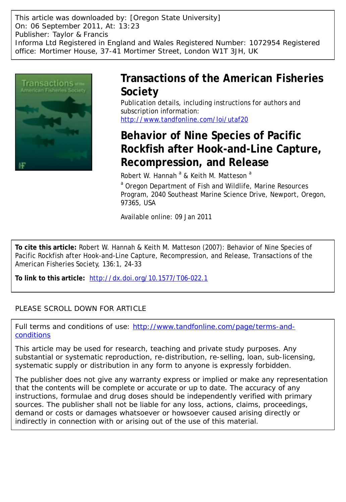This article was downloaded by: [Oregon State University] On: 06 September 2011, At: 13:23 Publisher: Taylor & Francis Informa Ltd Registered in England and Wales Registered Number: 1072954 Registered office: Mortimer House, 37-41 Mortimer Street, London W1T 3JH, UK



## **Transactions of the American Fisheries Society**

Publication details, including instructions for authors and subscription information: <http://www.tandfonline.com/loi/utaf20>

# **Behavior of Nine Species of Pacific Rockfish after Hook-and-Line Capture, Recompression, and Release**

Robert W. Hannah <sup>a</sup> & Keith M. Matteson <sup>a</sup>

<sup>a</sup> Oregon Department of Fish and Wildlife, Marine Resources Program, 2040 Southeast Marine Science Drive, Newport, Oregon, 97365, USA

Available online: 09 Jan 2011

**To cite this article:** Robert W. Hannah & Keith M. Matteson (2007): Behavior of Nine Species of Pacific Rockfish after Hook-and-Line Capture, Recompression, and Release, Transactions of the American Fisheries Society, 136:1, 24-33

**To link to this article:** <http://dx.doi.org/10.1577/T06-022.1>

## PLEASE SCROLL DOWN FOR ARTICLE

Full terms and conditions of use: [http://www.tandfonline.com/page/terms-and](http://www.tandfonline.com/page/terms-and-conditions)[conditions](http://www.tandfonline.com/page/terms-and-conditions)

This article may be used for research, teaching and private study purposes. Any substantial or systematic reproduction, re-distribution, re-selling, loan, sub-licensing, systematic supply or distribution in any form to anyone is expressly forbidden.

The publisher does not give any warranty express or implied or make any representation that the contents will be complete or accurate or up to date. The accuracy of any instructions, formulae and drug doses should be independently verified with primary sources. The publisher shall not be liable for any loss, actions, claims, proceedings, demand or costs or damages whatsoever or howsoever caused arising directly or indirectly in connection with or arising out of the use of this material.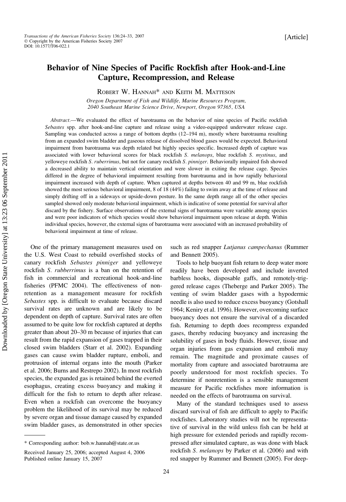### Behavior of Nine Species of Pacific Rockfish after Hook-and-Line Capture, Recompression, and Release

ROBERT W. HANNAH\* AND KEITH M. MATTESON

Oregon Department of Fish and Wildlife, Marine Resources Program, 2040 Southeast Marine Science Drive, Newport, Oregon 97365, USA

Abstract.—We evaluated the effect of barotrauma on the behavior of nine species of Pacific rockfish Sebastes spp. after hook-and-line capture and release using a video-equipped underwater release cage. Sampling was conducted across a range of bottom depths (12–194 m), mostly where barotrauma resulting from an expanded swim bladder and gaseous release of dissolved blood gases would be expected. Behavioral impairment from barotrauma was depth related but highly species specific. Increased depth of capture was associated with lower behavioral scores for black rockfish S. melanops, blue rockfish S. mystinus, and yelloweye rockfish S. ruberrimus, but not for canary rockfish S. pinniger. Behaviorally impaired fish showed a decreased ability to maintain vertical orientation and were slower in exiting the release cage. Species differed in the degree of behavioral impairment resulting from barotrauma and in how rapidly behavioral impairment increased with depth of capture. When captured at depths between 40 and 99 m, blue rockfish showed the most serious behavioral impairment, 8 of 18 (44%) failing to swim away at the time of release and simply drifting off in a sideways or upside-down posture. In the same depth range all of the other species sampled showed only moderate behavioral impairment, which is indicative of some potential for survival after discard by the fishery. Surface observations of the external signs of barotrauma were variable among species and were poor indicators of which species would show behavioral impairment upon release at depth. Within individual species, however, the external signs of barotrauma were associated with an increased probability of behavioral impairment at time of release.

One of the primary management measures used on the U.S. West Coast to rebuild overfished stocks of canary rockfish Sebastes pinniger and yelloweye rockfish S. rubberrimus is a ban on the retention of fish in commercial and recreational hook-and-line fisheries (PFMC 2004). The effectiveness of nonretention as a management measure for rockfish Sebastes spp. is difficult to evaluate because discard survival rates are unknown and are likely to be dependent on depth of capture. Survival rates are often assumed to be quite low for rockfish captured at depths greater than about 20–30 m because of injuries that can result from the rapid expansion of gases trapped in their closed swim bladders (Starr et al. 2002). Expanding gases can cause swim bladder rupture, emboli, and protrusion of internal organs into the mouth (Parker et al. 2006; Burns and Restrepo 2002). In most rockfish species, the expanded gas is retained behind the everted esophagus, creating excess buoyancy and making it difficult for the fish to return to depth after release. Even when a rockfish can overcome the buoyancy problem the likelihood of its survival may be reduced by severe organ and tissue damage caused by expanded swim bladder gases, as demonstrated in other species such as red snapper Lutjanus campechanus (Rummer and Bennett 2005).

Tools to help buoyant fish return to deep water more readily have been developed and include inverted barbless hooks, disposable gaffs, and remotely-triggered release cages (Theberge and Parker 2005). The venting of swim bladder gases with a hypodermic needle is also used to reduce excess buoyancy (Gotshall 1964; Keniry et al. 1996). However, overcoming surface buoyancy does not ensure the survival of a discarded fish. Returning to depth does recompress expanded gases, thereby reducing buoyancy and increasing the solubility of gases in body fluids. However, tissue and organ injuries from gas expansion and emboli may remain. The magnitude and proximate causes of mortality from capture and associated barotrauma are poorly understood for most rockfish species. To determine if nonretention is a sensible management measure for Pacific rockfishes more information is needed on the effects of barotrauma on survival.

Many of the standard techniques used to assess discard survival of fish are difficult to apply to Pacific rockfishes. Laboratory studies will not be representative of survival in the wild unless fish can be held at high pressure for extended periods and rapidly recompressed after simulated capture, as was done with black rockfish S. melanops by Parker et al. (2006) and with red snapper by Rummer and Bennett (2005). For deep-

<sup>\*</sup> Corresponding author: bob.w.hannah@state.or.us

Received January 25, 2006; accepted August 4, 2006 Published online January 15, 2007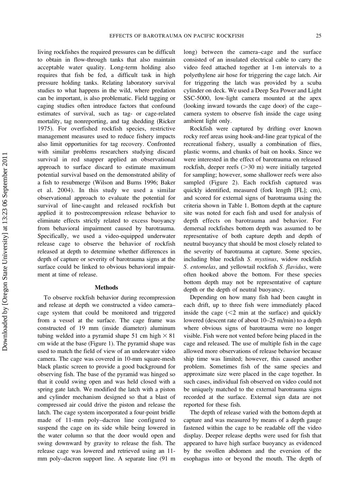living rockfishes the required pressures can be difficult to obtain in flow-through tanks that also maintain acceptable water quality. Long-term holding also requires that fish be fed, a difficult task in high pressure holding tanks. Relating laboratory survival studies to what happens in the wild, where predation can be important, is also problematic. Field tagging or caging studies often introduce factors that confound estimates of survival, such as tag- or cage-related mortality, tag nonreporting, and tag shedding (Ricker 1975). For overfished rockfish species, restrictive management measures used to reduce fishery impacts also limit opportunities for tag recovery. Confronted with similar problems researchers studying discard survival in red snapper applied an observational approach to surface discard to estimate maximum potential survival based on the demonstrated ability of a fish to resubmerge (Wilson and Burns 1996; Baker et al. 2004). In this study we used a similar observational approach to evaluate the potential for survival of line-caught and released rockfish but applied it to postrecompression release behavior to eliminate effects strictly related to excess buoyancy from behavioral impairment caused by barotrauma. Specifically, we used a video-equipped underwater release cage to observe the behavior of rockfish released at depth to determine whether differences in depth of capture or severity of barotrauma signs at the surface could be linked to obvious behavioral impairment at time of release.

#### Methods

To observe rockfish behavior during recompression and release at depth we constructed a video camera– cage system that could be monitored and triggered from a vessel at the surface. The cage frame was constructed of 19 mm (inside diameter) aluminum tubing welded into a pyramid shape 51 cm high  $\times 81$ cm wide at the base (Figure 1). The pyramid shape was used to match the field of view of an underwater video camera. The cage was covered in 10-mm square-mesh black plastic screen to provide a good background for observing fish. The base of the pyramid was hinged so that it could swing open and was held closed with a spring gate latch. We modified the latch with a piston and cylinder mechanism designed so that a blast of compressed air could drive the piston and release the latch. The cage system incorporated a four-point bridle made of 11-mm poly–dacron line configured to suspend the cage on its side while being lowered in the water column so that the door would open and swing downward by gravity to release the fish. The release cage was lowered and retrieved using an 11 mm poly–dacron support line. A separate line (91 m

long) between the camera–cage and the surface consisted of an insulated electrical cable to carry the video feed attached together at 1-m intervals to a polyethylene air hose for triggering the cage latch. Air for triggering the latch was provided by a scuba cylinder on deck. We used a Deep Sea Power and Light SSC-5000, low-light camera mounted at the apex (looking inward towards the cage door) of the cage– camera system to observe fish inside the cage using ambient light only.

Rockfish were captured by drifting over known rocky reef areas using hook-and-line gear typical of the recreational fishery, usually a combination of flies, plastic worms, and chunks of bait on hooks. Since we were interested in the effect of barotrauma on released rockfish, deeper reefs  $(>= 30 \text{ m})$  were initially targeted for sampling; however, some shallower reefs were also sampled (Figure 2). Each rockfish captured was quickly identified, measured (fork length [FL]; cm), and scored for external signs of barotrauma using the criteria shown in Table 1. Bottom depth at the capture site was noted for each fish and used for analysis of depth effects on barotrauma and behavior. For demersal rockfishes bottom depth was assumed to be representative of both capture depth and depth of neutral buoyancy that should be most closely related to the severity of barotrauma at capture. Some species, including blue rockfish S. mystinus, widow rockfish S. entomelas, and yellowtail rockfish S. flavidus, were often hooked above the bottom. For these species bottom depth may not be representative of capture depth or the depth of neutral buoyancy.

Depending on how many fish had been caught in each drift, up to three fish were immediately placed inside the cage  $(< 2$  min at the surface) and quickly lowered (descent rate of about 10–25 m/min) to a depth where obvious signs of barotrauma were no longer visible. Fish were not vented before being placed in the cage and released. The use of multiple fish in the cage allowed more observations of release behavior because ship time was limited; however, this caused another problem. Sometimes fish of the same species and approximate size were placed in the cage together. In such cases, individual fish observed on video could not be uniquely matched to the external barotrauma signs recorded at the surface. External sign data are not reported for these fish.

The depth of release varied with the bottom depth at capture and was measured by means of a depth gauge fastened within the cage to be readable off the video display. Deeper release depths were used for fish that appeared to have high surface buoyancy as evidenced by the swollen abdomen and the eversion of the esophagus into or beyond the mouth. The depth of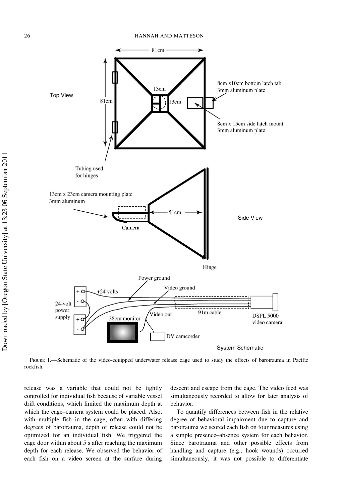

FIGURE 1.—Schematic of the video-equipped underwater release cage used to study the effects of barotrauma in Pacific rockfish.

release was a variable that could not be tightly controlled for individual fish because of variable vessel drift conditions, which limited the maximum depth at which the cage–camera system could be placed. Also, with multiple fish in the cage, often with differing degrees of barotrauma, depth of release could not be optimized for an individual fish. We triggered the cage door within about 5 s after reaching the maximum depth for each release. We observed the behavior of each fish on a video screen at the surface during descent and escape from the cage. The video feed was simultaneously recorded to allow for later analysis of behavior.

To quantify differences between fish in the relative degree of behavioral impairment due to capture and barotrauma we scored each fish on four measures using a simple presence–absence system for each behavior. Since barotrauma and other possible effects from handling and capture (e.g., hook wounds) occurred simultaneously, it was not possible to differentiate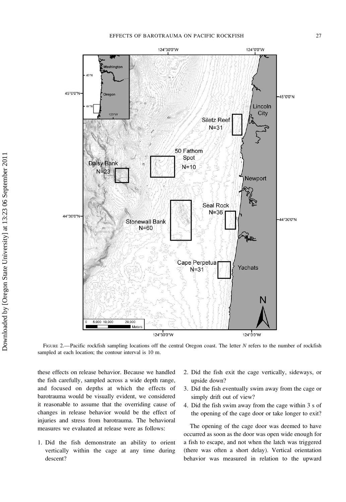

FIGURE 2.—Pacific rockfish sampling locations off the central Oregon coast. The letter N refers to the number of rockfish sampled at each location; the contour interval is 10 m.

these effects on release behavior. Because we handled the fish carefully, sampled across a wide depth range, and focused on depths at which the effects of barotrauma would be visually evident, we considered it reasonable to assume that the overriding cause of changes in release behavior would be the effect of injuries and stress from barotrauma. The behavioral measures we evaluated at release were as follows:

1. Did the fish demonstrate an ability to orient vertically within the cage at any time during descent?

- 2. Did the fish exit the cage vertically, sideways, or upside down?
- 3. Did the fish eventually swim away from the cage or simply drift out of view?
- 4. Did the fish swim away from the cage within 3 s of the opening of the cage door or take longer to exit?

The opening of the cage door was deemed to have occurred as soon as the door was open wide enough for a fish to escape, and not when the latch was triggered (there was often a short delay). Vertical orientation behavior was measured in relation to the upward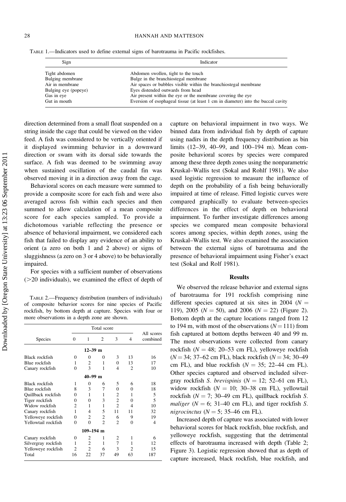| Sign                 | Indicator                                                                        |  |  |  |
|----------------------|----------------------------------------------------------------------------------|--|--|--|
| Tight abdomen        | Abdomen swollen, tight to the touch                                              |  |  |  |
| Bulging membrane     | Bulge in the branchiostegal membrane                                             |  |  |  |
| Air in membrane      | Air spaces or bubbles visible within the branchiostegal membrane                 |  |  |  |
| Bulging eye (popeye) | Eyes distended outwards from head                                                |  |  |  |
| Gas in eye           | Air present within the eye or the membrane covering the eye                      |  |  |  |
| Gut in mouth         | Eversion of esophageal tissue (at least 1 cm in diameter) into the buccal cavity |  |  |  |

direction determined from a small float suspended on a string inside the cage that could be viewed on the video feed. A fish was considered to be vertically oriented if it displayed swimming behavior in a downward direction or swam with its dorsal side towards the surface. A fish was deemed to be swimming away when sustained oscillation of the caudal fin was observed moving it in a direction away from the cage.

Behavioral scores on each measure were summed to provide a composite score for each fish and were also averaged across fish within each species and then summed to allow calculation of a mean composite score for each species sampled. To provide a dichotomous variable reflecting the presence or absence of behavioral impairment, we considered each fish that failed to display any evidence of an ability to orient (a zero on both 1 and 2 above) or signs of sluggishness (a zero on 3 or 4 above) to be behaviorally impaired.

For species with a sufficient number of observations  $(>=20$  individuals), we examined the effect of depth of

TABLE 2.—Frequency distribution (numbers of individuals) of composite behavior scores for nine species of Pacific rockfish, by bottom depth at capture. Species with four or more observations in a depth zone are shown.

|                     | Total score    |                |                |                |                |                        |  |
|---------------------|----------------|----------------|----------------|----------------|----------------|------------------------|--|
| Species             | $\Omega$       | 1              | 2              | 3              | 4              | All scores<br>combined |  |
|                     |                | $12 - 39$ m    |                |                |                |                        |  |
| Black rockfish      | 0              | $\Omega$       | 0              | 3              | 13             | 16                     |  |
| Blue rockfish       | 1              | 2              | 1              | $\Omega$       | 13             | 17                     |  |
| Canary rockfish     | $\theta$       | 3              | 1              | 4              | $\overline{c}$ | 10                     |  |
|                     |                | $40 - 99$ m    |                |                |                |                        |  |
| Black rockfish      | 1              | 0              | 6              | 5              | 6              | 18                     |  |
| Blue rockfish       | 8              | 3              | 7              | $\theta$       | 0              | 18                     |  |
| Quillback rockfish  | 0              | 1              | 1              | $\overline{c}$ | 1              | 5                      |  |
| Tiger rockfish      | 0              | $\Omega$       | 3              | $\overline{c}$ | 0              | 5                      |  |
| Widow rockfish      | $\overline{c}$ | 1              | 1              | $\overline{c}$ | 4              | 10                     |  |
| Canary rockfish     | 1              | 4              | 5              | 11             | 11             | 32                     |  |
| Yelloweye rockfish  | 0              | $\overline{c}$ | $\overline{c}$ | 6              | 9              | 19                     |  |
| Yellowtail rockfish | $\theta$       | $\Omega$       | $\overline{c}$ | 2              | $\theta$       | 4                      |  |
|                     |                | $109 - 194$ m  |                |                |                |                        |  |
| Canary rockfish     | 0              | 2              | 1              | 2              | 1              | 6                      |  |
| Silvergray rockfish | 1              | $\overline{c}$ | 1              | $\overline{7}$ | 1              | 12.                    |  |
| Yelloweye rockfish  | $\overline{c}$ | $\overline{c}$ | 6              | 3              | 2              | 15                     |  |
| Total               | 16             | 22             | 37             | 49             | 63             | 187                    |  |

capture on behavioral impairment in two ways. We binned data from individual fish by depth of capture using nadirs in the depth frequency distribution as bin limits (12–39, 40–99, and 100–194 m). Mean composite behavioral scores by species were compared among these three depth zones using the nonparametric Kruskal–Wallis test (Sokal and Rohlf 1981). We also used logistic regression to measure the influence of depth on the probability of a fish being behaviorally impaired at time of release. Fitted logistic curves were compared graphically to evaluate between-species differences in the effect of depth on behavioral impairment. To further investigate differences among species we compared mean composite behavioral scores among species, within depth zones, using the Kruskal–Wallis test. We also examined the association between the external signs of barotrauma and the presence of behavioral impairment using Fisher's exact test (Sokal and Rolf 1981).

#### Results

We observed the release behavior and external signs of barotrauma for 191 rockfish comprising nine different species captured at six sites in 2004 ( $N =$ 119), 2005 ( $N = 50$ ), and 2006 ( $N = 22$ ) (Figure 2). Bottom depth at the capture locations ranged from 12 to 194 m, with most of the observations  $(N=111)$  from fish captured at bottom depths between 40 and 99 m. The most observations were collected from canary rockfish ( $N = 48$ ; 20–53 cm FL), yelloweye rockfish  $(N = 34; 37–62$  cm FL), black rockfish  $(N = 34; 30–49)$ cm FL), and blue rockfish  $(N = 35; 22-44$  cm FL). Other species captured and observed included silvergray rockfish S. brevispinis ( $N = 12$ ; 52-61 cm FL), widow rockfish ( $N = 10$ ; 30–38 cm FL), yellowtail rockfish ( $N = 7$ ; 30–49 cm FL), quillback rockfish S. maliger ( $N = 6$ ; 31–40 cm FL), and tiger rockfish S. nigrocinctus ( $N = 5$ ; 35–46 cm FL).

Increased depth of capture was associated with lower behavioral scores for black rockfish, blue rockfish, and yelloweye rockfish, suggesting that the detrimental effects of barotrauma increased with depth (Table 2; Figure 3). Logistic regression showed that as depth of capture increased, black rockfish, blue rockfish, and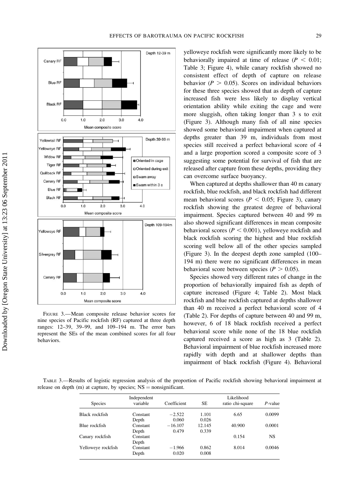

FIGURE 3.—Mean composite release behavior scores for nine species of Pacific rockfish (RF) captured at three depth ranges: 12–39, 39–99, and 109–194 m. The error bars represent the SEs of the mean combined scores for all four behaviors.

yelloweye rockfish were significantly more likely to be behaviorally impaired at time of release ( $P < 0.01$ ; Table 3; Figure 4), while canary rockfish showed no consistent effect of depth of capture on release behavior ( $P > 0.05$ ). Scores on individual behaviors for these three species showed that as depth of capture increased fish were less likely to display vertical orientation ability while exiting the cage and were more sluggish, often taking longer than 3 s to exit (Figure 3). Although many fish of all nine species showed some behavioral impairment when captured at depths greater than 39 m, individuals from most species still received a perfect behavioral score of 4 and a large proportion scored a composite score of 3 suggesting some potential for survival of fish that are released after capture from these depths, providing they can overcome surface buoyancy.

When captured at depths shallower than 40 m canary rockfish, blue rockfish, and black rockfish had different mean behavioral scores ( $P < 0.05$ ; Figure 3), canary rockfish showing the greatest degree of behavioral impairment. Species captured between 40 and 99 m also showed significant differences in mean composite behavioral scores ( $P < 0.001$ ), yelloweye rockfish and black rockfish scoring the highest and blue rockfish scoring well below all of the other species sampled (Figure 3). In the deepest depth zone sampled (100– 194 m) there were no significant differences in mean behavioral score between species ( $P > 0.05$ ).

Species showed very different rates of change in the proportion of behaviorally impaired fish as depth of capture increased (Figure 4; Table 2). Most black rockfish and blue rockfish captured at depths shallower than 40 m received a perfect behavioral score of 4 (Table 2). For depths of capture between 40 and 99 m, however, 6 of 18 black rockfish received a perfect behavioral score while none of the 18 blue rockfish captured received a score as high as 3 (Table 2). Behavioral impairment of blue rockfish increased more rapidly with depth and at shallower depths than impairment of black rockfish (Figure 4). Behavioral

TABLE 3.—Results of logistic regression analysis of the proportion of Pacific rockfish showing behavioral impairment at release on depth (m) at capture, by species;  $NS =$  nonsignificant.

| <b>Species</b>     | Independent<br>variable | Coefficient | SE.    | Likelihood<br>ratio chi-square | $P$ -value |
|--------------------|-------------------------|-------------|--------|--------------------------------|------------|
| Black rockfish     | Constant                | $-2.522$    | 1.101  | 6.65                           | 0.0099     |
|                    | Depth                   | 0.060       | 0.026  |                                |            |
| Blue rockfish      | Constant                | $-16.107$   | 12.145 | 40.900                         | 0.0001     |
|                    | Depth                   | 0.479       | 0.339  |                                |            |
| Canary rockfish    | Constant                |             |        | 0.154                          | <b>NS</b>  |
|                    | Depth                   |             |        |                                |            |
| Yelloweye rockfish | Constant                | $-1.966$    | 0.862  | 8.014                          | 0.0046     |
|                    | Depth                   | 0.020       | 0.008  |                                |            |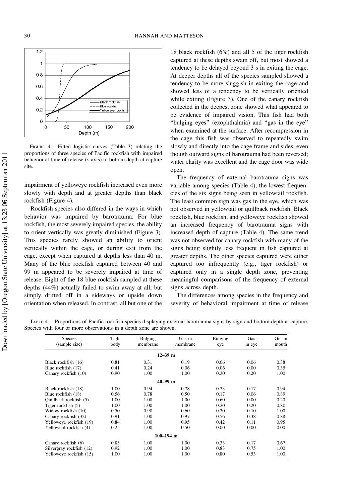

FIGURE 4.—Fitted logistic curves (Table 3) relating the proportions of three species of Pacific rockfish with impaired behavior at time of release (y-axis) to bottom depth at capture site.

impairment of yelloweye rockfish increased even more slowly with depth and at greater depths than black rockfish (Figure 4).

Rockfish species also differed in the ways in which behavior was impaired by barotrauma. For blue rockfish, the most severely impaired species, the ability to orient vertically was greatly diminished (Figure 3). This species rarely showed an ability to orient vertically within the cage, or during exit from the cage, except when captured at depths less than 40 m. Many of the blue rockfish captured between 40 and 99 m appeared to be severely impaired at time of release. Eight of the 18 blue rockfish sampled at these depths (44%) actually failed to swim away at all, but simply drifted off in a sideways or upside down orientation when released. In contrast, all but one of the

18 black rockfish (6%) and all 5 of the tiger rockfish captured at these depths swam off, but most showed a tendency to be delayed beyond 3 s in exiting the cage. At deeper depths all of the species sampled showed a tendency to be more sluggish in exiting the cage and showed less of a tendency to be vertically oriented while exiting (Figure 3). One of the canary rockfish collected in the deepest zone showed what appeared to be evidence of impaired vision. This fish had both ''bulging eyes'' (exophthalmia) and ''gas in the eye'' when examined at the surface. After recompression in the cage this fish was observed to repeatedly swim slowly and directly into the cage frame and sides, even though outward signs of barotrauma had been reversed; water clarity was excellent and the cage door was wide open.

The frequency of external barotrauma signs was variable among species (Table 4), the lowest frequencies of the six signs being seen in yellowtail rockfish. The least common sign was gas in the eye, which was not observed in yellowtail or quillback rockfish. Black rockfish, blue rockfish, and yelloweye rockfish showed an increased frequency of barotrauma signs with increased depth of capture (Table 4). The same trend was not observed for canary rockfish with many of the signs being slightly less frequent in fish captured at greater depths. The other species captured were either captured too infrequently (e.g., tiger rockfish) or captured only in a single depth zone, preventing meaningful comparisons of the frequency of external signs across depth.

The differences among species in the frequency and severity of behavioral impairment at time of release

TABLE 4.—Proportions of Pacific rockfish species displaying external barotrauma signs by sign and bottom depth at capture. Species with four or more observations in a depth zone are shown.

| <b>Species</b><br>(sample size) | Tight<br>body | <b>Bulging</b><br>membrane | Gas in<br>membrane | <b>Bulging</b><br>eye | Gas<br>in eye | Gut in<br>mouth |
|---------------------------------|---------------|----------------------------|--------------------|-----------------------|---------------|-----------------|
|                                 |               | $12 - 39$ m                |                    |                       |               |                 |
| Black rockfish (16)             | 0.81          | 0.31                       | 0.19               | 0.06                  | 0.06          | 0.38            |
| Blue rockfish (17)              | 0.41          | 0.24                       | 0.06               | 0.06                  | 0.00          | 0.35            |
| Canary rockfish (10)            | 0.90          | 1.00                       | 1.00               | 0.30                  | 0.20          | 1.00            |
|                                 |               | $40 - 99$ m                |                    |                       |               |                 |
| Black rockfish (18)             | 1.00          | 0.94                       | 0.78               | 0.33                  | 0.17          | 0.94            |
| Blue rockfish (18)              | 0.56          | 0.78                       | 0.50               | 0.17                  | 0.06          | 0.89            |
| Quillback rockfish (5)          | 1.00          | 1.00                       | 1.00               | 0.60                  | 0.00          | 0.20            |
| Tiger rockfish (5)              | 1.00          | 1.00                       | 1.00               | 0.20                  | 0.20          | 0.80            |
| Widow rockfish (10)             | 0.50          | 0.90                       | 0.60               | 0.30                  | 0.10          | 1.00            |
| Canary rockfish (32)            | 0.91          | 1.00                       | 0.97               | 0.56                  | 0.38          | 0.88            |
| Yelloweye rockfish (19)         | 0.84          | 1.00                       | 0.95               | 0.42                  | 0.11          | 0.95            |
| Yellowtail rockfish (4)         | 0.25          | 1.00                       | 0.50               | 0.00                  | 0.00          | 0.00            |
|                                 |               | $100 - 194$ m              |                    |                       |               |                 |
| Canary rockfish (6)             | 0.83          | 1.00                       | 1.00               | 0.33                  | 0.17          | 0.67            |
| Silvergray rockfish (12)        | 0.92          | 1.00                       | 1.00               | 0.83                  | 0.75          | 1.00            |
| Yelloweye rockfish (15)         | 1.00          | 1.00                       | 1.00               | 0.80                  | 0.53          | 1.00            |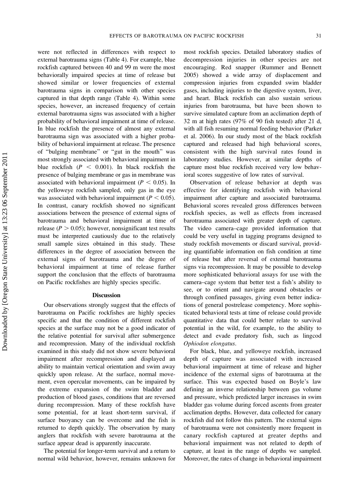were not reflected in differences with respect to external barotrauma signs (Table 4). For example, blue rockfish captured between 40 and 99 m were the most behaviorally impaired species at time of release but showed similar or lower frequencies of external barotrauma signs in comparison with other species captured in that depth range (Table 4). Within some species, however, an increased frequency of certain external barotrauma signs was associated with a higher probability of behavioral impairment at time of release. In blue rockfish the presence of almost any external barotrauma sign was associated with a higher probability of behavioral impairment at release. The presence of ''bulging membrane'' or ''gut in the mouth'' was most strongly associated with behavioral impairment in blue rockfish ( $P < 0.001$ ). In black rockfish the presence of bulging membrane or gas in membrane was associated with behavioral impairment ( $P < 0.05$ ). In the yelloweye rockfish sampled, only gas in the eye was associated with behavioral impairment ( $P < 0.05$ ). In contrast, canary rockfish showed no significant associations between the presence of external signs of barotrauma and behavioral impairment at time of release ( $P > 0.05$ ); however, nonsignificant test results must be interpreted cautiously due to the relatively small sample sizes obtained in this study. These differences in the degree of association between the external signs of barotrauma and the degree behavioral impairment at time of release further support the conclusion that the effects of barotrauma on Pacific rockfishes are highly species specific.

#### Discussion

Our observations strongly suggest that the effects of barotrauma on Pacific rockfishes are highly species specific and that the condition of different rockfish species at the surface may not be a good indicator of the relative potential for survival after submergence and recompression. Many of the individual rockfish examined in this study did not show severe behavioral impairment after recompression and displayed an ability to maintain vertical orientation and swim away quickly upon release. At the surface, normal movement, even opercular movements, can be impaired by the extreme expansion of the swim bladder and production of blood gases, conditions that are reversed during recompression. Many of these rockfish have some potential, for at least short-term survival, if surface buoyancy can be overcome and the fish is returned to depth quickly. The observation by many anglers that rockfish with severe barotrauma at the surface appear dead is apparently inaccurate.

The potential for longer-term survival and a return to normal wild behavior, however, remains unknown for most rockfish species. Detailed laboratory studies of decompression injuries in other species are not encouraging. Red snapper (Rummer and Bennett 2005) showed a wide array of displacement and compression injuries from expanded swim bladder gases, including injuries to the digestive system, liver, and heart. Black rockfish can also sustain serious injuries from barotrauma, but have been shown to survive simulated capture from an acclimation depth of 32 m at high rates (97% of 90 fish tested) after 21 d, with all fish resuming normal feeding behavior (Parker et al. 2006). In our study most of the black rockfish captured and released had high behavioral scores, consistent with the high survival rates found in laboratory studies. However, at similar depths of capture most blue rockfish received very low behavioral scores suggestive of low rates of survival.

Observation of release behavior at depth was effective for identifying rockfish with behavioral impairment after capture and associated barotrauma. Behavioral scores revealed gross differences between rockfish species, as well as effects from increased barotrauma associated with greater depth of capture. The video camera–cage provided information that could be very useful in tagging programs designed to study rockfish movements or discard survival, providing quantifiable information on fish condition at time of release but after reversal of external barotrauma signs via recompression. It may be possible to develop more sophisticated behavioral assays for use with the camera–cage system that better test a fish's ability to see, or to orient and navigate around obstacles or through confined passages, giving even better indications of general postrelease competency. More sophisticated behavioral tests at time of release could provide quantitative data that could better relate to survival potential in the wild, for example, to the ability to detect and evade predatory fish, such as lingcod Ophiodon elongatus.

For black, blue, and yelloweye rockfish, increased depth of capture was associated with increased behavioral impairment at time of release and higher incidence of the external signs of barotrauma at the surface. This was expected based on Boyle's law defining an inverse relationship between gas volume and pressure, which predicted larger increases in swim bladder gas volume during forced ascents from greater acclimation depths. However, data collected for canary rockfish did not follow this pattern. The external signs of barotrauma were not consistently more frequent in canary rockfish captured at greater depths and behavioral impairment was not related to depth of capture, at least in the range of depths we sampled. Moreover, the rates of change in behavioral impairment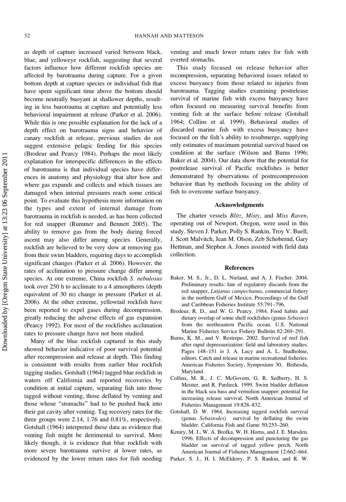as depth of capture increased varied between black, blue, and yelloweye rockfish, suggesting that several factors influence how different rockfish species are affected by barotrauma during capture. For a given bottom depth at capture species or individual fish that have spent significant time above the bottom should become neutrally buoyant at shallower depths, resulting in less barotrauma at capture and potentially less behavioral impairment at release (Parker et al. 2006). While this is one possible explanation for the lack of a depth effect on barotrauma signs and behavior of canary rockfish at release, previous studies do not suggest extensive pelagic feeding for this species (Brodeur and Pearcy 1984). Perhaps the most likely explanation for interspecific differences in the effects of barotrauma is that individual species have differences in anatomy and physiology that alter how and where gas expands and collects and which tissues are damaged when internal pressures reach some critical point. To evaluate this hypothesis more information on the types and extent of internal damage from barotrauma in rockfish is needed, as has been collected for red snapper (Rummer and Bennett 2005). The ability to remove gas from the body during forced ascent may also differ among species. Generally, rockfish are believed to be very slow at removing gas from their swim bladders, requiring days to accomplish significant changes (Parker et al. 2006). However, the rates of acclimation to pressure change differ among species. At one extreme, China rockfish S. nebulosus took over 250 h to acclimate to a 4 atmospheres (depth equivalent of 30 m) change in pressure (Parker et al. 2006). At the other extreme, yellowtail rockfish have been reported to expel gases during decompression, greatly reducing the adverse effects of gas expansion (Pearcy 1992). For most of the rockfishes acclimation rates to pressure change have not been studied.

Many of the blue rockfish captured in this study showed behavior indicative of poor survival potential after recompression and release at depth. This finding is consistent with results from earlier blue rockfish tagging studies. Gotshall (1964) tagged blue rockfish in waters off California and reported recoveries by condition at initial capture, separating fish into those tagged without venting, those deflated by venting and those whose ''stomachs'' had to be pushed back into their gut cavity after venting. Tag recovery rates for the three groups were 2.14, 1.76 and 0.81%, respectively. Gotshall (1964) interpreted these data as evidence that venting fish might be detrimental to survival. More likely though, it is evidence that blue rockfish with more severe barotrauma survive at lower rates, as evidenced by the lower return rates for fish needing venting and much lower return rates for fish with everted stomachs.

This study focused on release behavior after recompression, separating behavioral issues related to excess buoyancy from those related to injuries from barotrauma. Tagging studies examining postrelease survival of marine fish with excess buoyancy have often focused on measuring survival benefits from venting fish at the surface before release (Gotshall 1964; Collins et al. 1999). Behavioral studies of discarded marine fish with excess buoyancy have focused on the fish's ability to resubmerge, supplying only estimates of maximum potential survival based on condition at the surface (Wilson and Burns 1996; Baker et al. 2004). Our data show that the potential for postrelease survival of Pacific rockfishes is better demonstrated by observations of postrecompression behavior than by methods focusing on the ability of fish to overcome surface buoyancy.

#### Acknowledgments

The charter vessels *Blitz*, *Misty*, and *Miss Raven*, operating out of Newport, Oregon, were used in this study. Steven J. Parker, Polly S. Rankin, Troy V. Buell, J. Scott Malvitch, Jean M. Olson, Zeb Schobernd, Gary Hettman, and Stephen A. Jones assisted with field data collection.

#### References

- Baker, M. S., Jr., D. L. Nieland, and A. J. Fischer. 2004. Preliminary results: fate of regulatory discards from the red snapper, Lutjanus campechanus, commercial fishery in the northern Gulf of Mexico. Proceedings of the Gulf and Caribbean Fisheries Institute 55:791–796.
- Brodeur, R. D., and W. G. Pearcy. 1984. Food habits and dietary overlap of some shelf rockfishes (genus Sebastes) from the northeastern Pacific ocean. U.S. National Marine Fisheries Service Fishery Bulletin 82:269–291.
- Burns, K. M., and V. Restrepo. 2002. Survival of reef fish after rapid depressurization: field and laboratory studies. Pages 148-151 in J. A. Lucy and A. L. Studholme, editors. Catch and release in marine recreational fisheries. American Fisheries Society, Symposium 30, Bethesda, Maryland.
- Collins, M. R., J. C. McGovern, G. R. Sedberry, H. S. Meister, and R. Pardieck. 1999. Swim bladder deflation in the black sea bass and vermilion snapper: potential for increasing release survival. North American Journal of Fisheries Management 19:828–832.
- Gotshall, D. W. 1964. Increasing tagged rockfish survival (genus Sebastodes) survival by deflating the swim bladder. California Fish and Game 50:253–260.
- Keniry, M. J., W. A. Brofka, W. H. Horns, and J. E. Marsden. 1996. Effects of decompression and puncturing the gas bladder on survival of tagged yellow perch. North American Journal of Fisheries Management 12:662–664.
- Parker, S. J., H. I. McElderry, P. S. Rankin, and R. W.